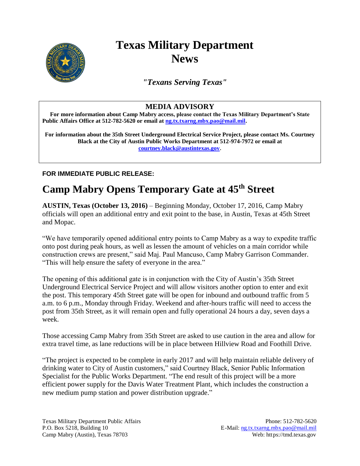

## **Texas Military Department News**

*"Texans Serving Texas"*

## **MEDIA ADVISORY**

**For more information about Camp Mabry access, please contact the Texas Military Department's State**  Public Affairs Office at 512-782-5620 or email at **ng.tx.txarng.mbx.pao@mail.mil.** 

**For information about the 35th Street Underground Electrical Service Project, please contact Ms. Courtney Black at the City of Austin Public Works Department at 512-974-7972 or email at [courtney.black@austintexas.gov.](mailto:courtney.black@austintexas.gov)** 

**FOR IMMEDIATE PUBLIC RELEASE:**

## **Camp Mabry Opens Temporary Gate at 45th Street**

**AUSTIN, Texas (October 13, 2016)** – Beginning Monday, October 17, 2016, Camp Mabry officials will open an additional entry and exit point to the base, in Austin, Texas at 45th Street and Mopac.

"We have temporarily opened additional entry points to Camp Mabry as a way to expedite traffic onto post during peak hours, as well as lessen the amount of vehicles on a main corridor while construction crews are present," said Maj. Paul Mancuso, Camp Mabry Garrison Commander. "This will help ensure the safety of everyone in the area."

The opening of this additional gate is in conjunction with the City of Austin's 35th Street Underground Electrical Service Project and will allow visitors another option to enter and exit the post. This temporary 45th Street gate will be open for inbound and outbound traffic from 5 a.m. to 6 p.m., Monday through Friday. Weekend and after-hours traffic will need to access the post from 35th Street, as it will remain open and fully operational 24 hours a day, seven days a week.

Those accessing Camp Mabry from 35th Street are asked to use caution in the area and allow for extra travel time, as lane reductions will be in place between Hillview Road and Foothill Drive.

"The project is expected to be complete in early 2017 and will help maintain reliable delivery of drinking water to City of Austin customers," said Courtney Black, Senior Public Information Specialist for the Public Works Department. "The end result of this project will be a more efficient power supply for the Davis Water Treatment Plant, which includes the construction a new medium pump station and power distribution upgrade."